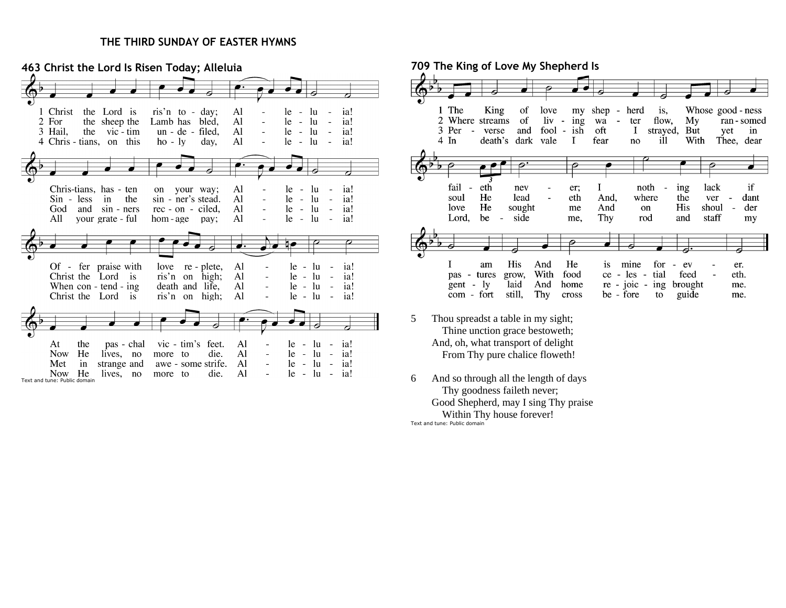## **THE THIRD SUNDAY OF EASTER HYMNS**

**463 Christ the Lord Is Risen Today; Alleluia**  $\vec{c}$ 1 Christ the Lord is ris'n to - day;  $\mathbf{A}$  $le - lu - ia!$  $\Box$ 2 For the sheep the Lamb has bled, Al le  $-1u$   $$ ia! 3 Hail,  $\mathbf{A}$  $le - lu$ the vic-tim  $un - de - filed$ , ia!  $\overline{a}$ 4 Chris - tians, on this  $ho - ly$ day.  $\mathbf{A}$  $le - lu$ ia!  $\bullet$ ◄ Al Chris-tians, has - ten on your way;  $le - lu - ia!$  $\mathbf{A}$ l  $Sin - less$  in the sin - ner's stead.  $\overline{a}$ le.  $-$  lu  $$ ia! Al  $- lu -$ God and sin - ners rec - on - ciled,  $1e$ ia!  $- lu -$ All your grate - ful hom-age pay; Al le ia!  $\overrightarrow{ }$ Of - fer praise with love re - plete, Al  $le - lu$ ia!  $\mathbb{Z}$ Christ the Lord is ris'n on high;  $\mathbf{A}$  $le - lu$  $\sim$   $$ ia!  $\bar{a}$  $AI$ When con - tend - ing death and life,  $\overline{a}$  $le - lu$  $-$  ia! Christ the Lord is ris'n on high; Al  $le - lu$  $\sim$   $$ ia!  $\sim$ vic - tim's feet.  $\mathbf{A}$ At the pas - chal le  $\sim$  $\ln$  - ia!  $\sim$ Now He lives, no die. Al le.  $-$  lu  $-$  ia! more to  $\sim$ Met awe - some strife. Al le  $-$  lu  $-$  ia!  $\mathbf{in}$ strange and  $\Box$ Now He lives, no more to die. Al  $le - lu - ia!$ Text and tune: Public domain

**709 The King of Love My Shepherd Is** 1 The King of love my shep herd is, Whose good - ness 2 Where streams of  $\mathbf{liv}$  -  $\mathbf{ing}$ wa flow,  $Mv$ ran - somed  $\overline{a}$ ter 3 Per - verse and fool - ish oft  $\bf{I}$ strayed, But yet in  $4 \; \text{In}$ death's dark vale  $\bf{I}$ fear ill With Thee, dear no fail - eth I noth ing lack if nev er; soul He lead eth And, where the ver dant  $\overline{\phantom{a}}$ He And His shoul love sought me on der side Thy Lord, be  $\sim$ me, rod and staff my Ð I am His And He is mine for  $-$  ev er. pas - tures grow, With food ce - les - tial feed eth.  $gent - ly$ laid And home  $re - j_0ic - ing brought$ me. com - fort still, Thy guide cross be - fore to me.

- 5 Thou spreadst a table in my sight; Thine unction grace bestoweth; And, oh, what transport of delight From Thy pure chalice floweth!
- 6 And so through all the length of days Thy goodness faileth never; Good Shepherd, may I sing Thy praise Within Thy house forever!

Text and tune: Public domain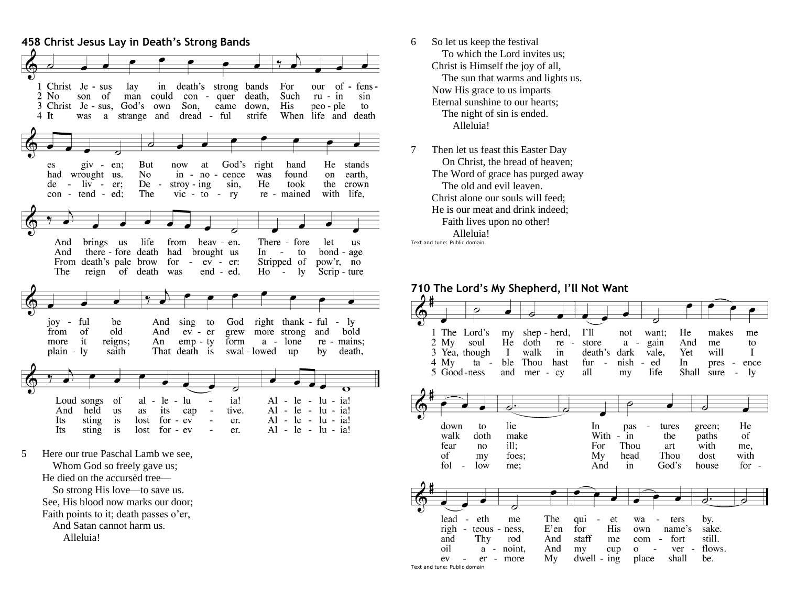

- 6 So let us keep the festival To which the Lord invites us; Christ is Himself the joy of all, The sun that warms and lights us. Now His grace to us imparts Eternal sunshine to our hearts; The night of sin is ended. Alleluia!
- 7 Then let us feast this Easter Day On Christ, the bread of heaven; The Word of grace has purged away The old and evil leaven. Christ alone our souls will feed. He is our meat and drink indeed; Faith lives upon no other! Alleluia! Text and tune: Public domain

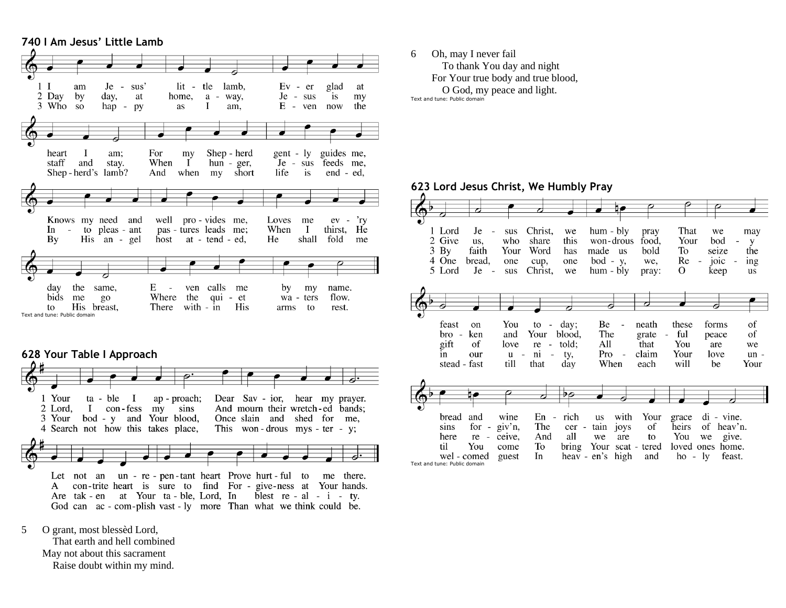## **740 I Am Jesus' Little Lamb** tle  $1<sub>l</sub>$ Je - sus'  $lit$ lamb,  $Ev - er$ am glad at 2 Day  $by$ day, at home, a - way, Je - sus is my 3 Who so hap -  $py$ as Ι. am,  $E$ ven now the  $\mathbf{I}$ Shep - herd guides me, heart am: For my gent -  $\mathbf{I} \mathbf{v}$ When  $\mathbf{I}$ staff and stay.  $hun - ger$ , Je - sus feeds me, Shep-herd's lamb? And when my short life is end - ed, Knows my need and well pro - vides me, Loves 'ry me  $ev -$ In  $-$  to pleas  $-$  ant pas - tures leads me; When  $\mathbf{I}$ thirst, He He fold  $Bv$ His an - gel host at - tend - ed, shall me  $E -$ ven calls day the same, me by my name. bids me  $g_{0}$ Where the qui - et wa - ters flow. to His breast, There with - in His arms to rest. Text and tune: Public domain



- 5 O grant, most blessèd Lord,
	- That earth and hell combined May not about this sacrament Raise doubt within my mind.

6 Oh, may I never fail To thank You day and night For Your true body and true blood, O God, my peace and light.

Text and tune: Public domain

## **623 Lord Jesus Christ, We Humbly Pray**